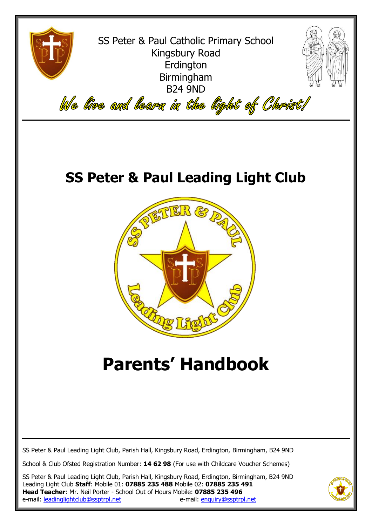

SS Peter & Paul Catholic Primary School Kingsbury Road Erdington Birmingham B24 9ND



We live and learn in the light of Christ!

## **SS Peter & Paul Leading Light Club**



# **Parents' Handbook**

SS Peter & Paul Leading Light Club, Parish Hall, Kingsbury Road, Erdington, Birmingham, B24 9ND

School & Club Ofsted Registration Number: **14 62 98** (For use with Childcare Voucher Schemes)

SS Peter & Paul Leading Light Club, Parish Hall, Kingsbury Road, Erdington, Birmingham, B24 9ND Leading Light Club **Staff**: Mobile 01: **07885 235 488** Mobile 02: **07885 235 491 Head Teacher**: Mr. Neil Porter - School Out of Hours Mobile: **07885 235 496** e-mail: [leadinglightclub@ssptrpl.net](mailto:leadinglightclub@ssptrpl.net) e-mail: [enquiry@ssptrpl.net](mailto:enquiry@ssptrpl.net)

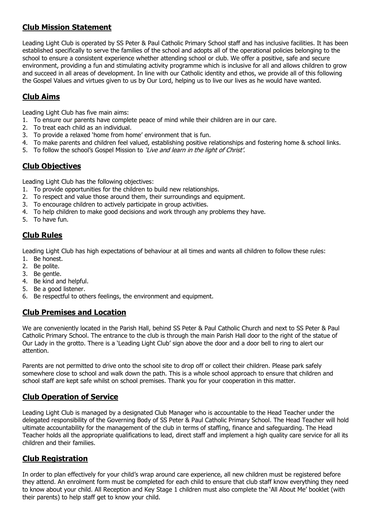### **Club Mission Statement**

Leading Light Club is operated by SS Peter & Paul Catholic Primary School staff and has inclusive facilities. It has been established specifically to serve the families of the school and adopts all of the operational policies belonging to the school to ensure a consistent experience whether attending school or club. We offer a positive, safe and secure environment, providing a fun and stimulating activity programme which is inclusive for all and allows children to grow and succeed in all areas of development. In line with our Catholic identity and ethos, we provide all of this following the Gospel Values and virtues given to us by Our Lord, helping us to live our lives as he would have wanted.

#### **Club Aims**

Leading Light Club has five main aims:

- 1. To ensure our parents have complete peace of mind while their children are in our care.
- 2. To treat each child as an individual.
- 3. To provide a relaxed 'home from home' environment that is fun.
- 4. To make parents and children feel valued, establishing positive relationships and fostering home & school links.
- 5. To follow the school's Gospel Mission to 'Live and learn in the light of Christ'.

#### **Club Objectives**

Leading Light Club has the following objectives:

- 1. To provide opportunities for the children to build new relationships.
- 2. To respect and value those around them, their surroundings and equipment.
- 3. To encourage children to actively participate in group activities.
- 4. To help children to make good decisions and work through any problems they have.
- 5. To have fun.

#### **Club Rules**

Leading Light Club has high expectations of behaviour at all times and wants all children to follow these rules:

- 1. Be honest.
- 2. Be polite.
- 3. Be gentle.
- 4. Be kind and helpful.
- 5. Be a good listener.
- 6. Be respectful to others feelings, the environment and equipment.

#### **Club Premises and Location**

We are conveniently located in the Parish Hall, behind SS Peter & Paul Catholic Church and next to SS Peter & Paul Catholic Primary School. The entrance to the club is through the main Parish Hall door to the right of the statue of Our Lady in the grotto. There is a 'Leading Light Club' sign above the door and a door bell to ring to alert our attention.

Parents are not permitted to drive onto the school site to drop off or collect their children. Please park safely somewhere close to school and walk down the path. This is a whole school approach to ensure that children and school staff are kept safe whilst on school premises. Thank you for your cooperation in this matter.

#### **Club Operation of Service**

Leading Light Club is managed by a designated Club Manager who is accountable to the Head Teacher under the delegated responsibility of the Governing Body of SS Peter & Paul Catholic Primary School. The Head Teacher will hold ultimate accountability for the management of the club in terms of staffing, finance and safeguarding. The Head Teacher holds all the appropriate qualifications to lead, direct staff and implement a high quality care service for all its children and their families.

#### **Club Registration**

In order to plan effectively for your child's wrap around care experience, all new children must be registered before they attend. An enrolment form must be completed for each child to ensure that club staff know everything they need to know about your child. All Reception and Key Stage 1 children must also complete the 'All About Me' booklet (with their parents) to help staff get to know your child.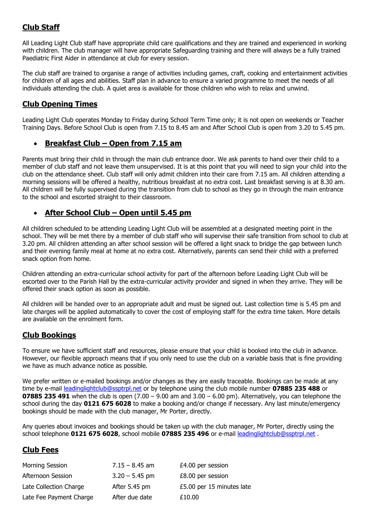### **Club Staff**

All Leading Light Club staff have appropriate child care qualifications and they are trained and experienced in working with children. The club manager will have appropriate Safeguarding training and there will always be a fully trained Paediatric First Aider in attendance at club for every session.

The club staff are trained to organise a range of activities including games, craft, cooking and entertainment activities for children of all ages and abilities. Staff plan in advance to ensure a varied programme to meet the needs of all individuals attending the club. A quiet area is available for those children who wish to relax and unwind.

#### **Club Opening Times**

Leading Light Club operates Monday to Friday during School Term Time only; it is not open on weekends or Teacher Training Days. Before School Club is open from 7.15 to 8.45 am and After School Club is open from 3.20 to 5.45 pm.

#### **Breakfast Club – Open from 7.15 am**

Parents must bring their child in through the main club entrance door. We ask parents to hand over their child to a member of club staff and not leave them unsupervised. It is at this point that you will need to sign your child into the club on the attendance sheet. Club staff will only admit children into their care from 7.15 am. All children attending a morning sessions will be offered a healthy, nutritious breakfast at no extra cost. Last breakfast serving is at 8.30 am. All children will be fully supervised during the transition from club to school as they go in through the main entrance to the school and escorted straight to their classroom.

#### **After School Club – Open until 5.45 pm**

All children scheduled to be attending Leading Light Club will be assembled at a designated meeting point in the school. They will be met there by a member of club staff who will supervise their safe transition from school to club at 3.20 pm. All children attending an after school session will be offered a light snack to bridge the gap between lunch and their evening family meal at home at no extra cost. Alternatively, parents can send their child with a preferred snack option from home.

Children attending an extra-curricular school activity for part of the afternoon before Leading Light Club will be escorted over to the Parish Hall by the extra-curricular activity provider and signed in when they arrive. They will be offered their snack option as soon as possible.

All children will be handed over to an appropriate adult and must be signed out. Last collection time is 5.45 pm and late charges will be applied automatically to cover the cost of employing staff for the extra time taken. More details are available on the enrolment form.

#### **Club Bookings**

To ensure we have sufficient staff and resources, please ensure that your child is booked into the club in advance. However, our flexible approach means that if you only need to use the club on a variable basis that is fine providing we have as much advance notice as possible.

We prefer written or e-mailed bookings and/or changes as they are easily traceable. Bookings can be made at any time by e-mail [leadinglightclub@ssptrpl.net](mailto:leadinglightclub@ssptrpl.net) or by telephone using the club mobile number **07885 235 488** or **07885 235 491** when the club is open  $(7.00 - 9.00)$  am and  $3.00 - 6.00)$  pm). Alternatively, you can telephone the school during the day **0121 675 6028** to make a booking and/or change if necessary. Any last minute/emergency bookings should be made with the club manager, Mr Porter, directly.

Any queries about invoices and bookings should be taken up with the club manager, Mr Porter, directly using the school telephone **0121 675 6028**, school mobile **07885 235 496** or e-mail [leadinglightclub@ssptrpl.net](mailto:leadinglightclub@ssptrpl.net) .

#### **Club Fees**

| <b>Morning Session</b>  | $7.15 - 8.45$ am | £4.00 per session         |
|-------------------------|------------------|---------------------------|
| Afternoon Session       | $3.20 - 5.45$ pm | £8.00 per session         |
| Late Collection Charge  | After 5.45 pm    | £5.00 per 15 minutes late |
| Late Fee Payment Charge | After due date   | £10.00                    |